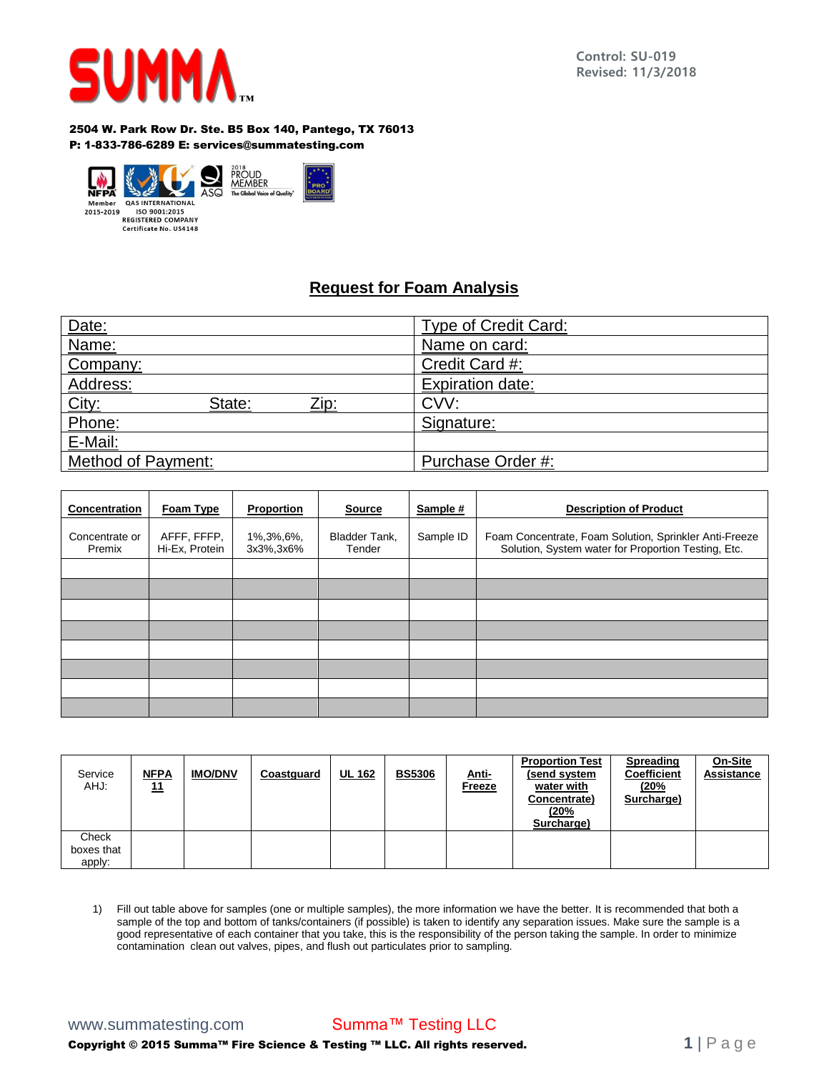

## 2504 W. Park Row Dr. Ste. B5 Box 140, Pantego, TX 76013 P: 1-833-786-6289 E: services@summatesting.com



## **Request for Foam Analysis**

| Date:                          | <b>Type of Credit Card:</b> |  |  |
|--------------------------------|-----------------------------|--|--|
| Name:                          | Name on card:               |  |  |
| Company:                       | Credit Card #:              |  |  |
| Address:                       | <b>Expiration date:</b>     |  |  |
| City:<br>State:<br><u>Zip:</u> | CVV:                        |  |  |
| Phone:                         | Signature:                  |  |  |
| E-Mail:                        |                             |  |  |
| Method of Payment:             | Purchase Order #:           |  |  |

| <b>Concentration</b>     | Foam Type                     | Proportion              | <b>Source</b>           | Sample #  | <b>Description of Product</b>                                                                                 |  |  |
|--------------------------|-------------------------------|-------------------------|-------------------------|-----------|---------------------------------------------------------------------------------------------------------------|--|--|
| Concentrate or<br>Premix | AFFF, FFFP,<br>Hi-Ex, Protein | 1%,3%,6%,<br>3x3%, 3x6% | Bladder Tank,<br>Tender | Sample ID | Foam Concentrate, Foam Solution, Sprinkler Anti-Freeze<br>Solution, System water for Proportion Testing, Etc. |  |  |
|                          |                               |                         |                         |           |                                                                                                               |  |  |
|                          |                               |                         |                         |           |                                                                                                               |  |  |
|                          |                               |                         |                         |           |                                                                                                               |  |  |
|                          |                               |                         |                         |           |                                                                                                               |  |  |
|                          |                               |                         |                         |           |                                                                                                               |  |  |
|                          |                               |                         |                         |           |                                                                                                               |  |  |
|                          |                               |                         |                         |           |                                                                                                               |  |  |
|                          |                               |                         |                         |           |                                                                                                               |  |  |

| Service<br>AHJ:     | <u>NFPA</u><br><u>11</u> | <b>IMO/DNV</b> | Coastguard | <b>UL 162</b> | <b>BS5306</b> | Anti-<br><b>Freeze</b> | <b>Proportion Test</b><br>(send system<br>water with<br>Concentrate)<br>(20%<br>Surcharge) | <b>Spreading</b><br><b>Coefficient</b><br>(20%<br>Surcharge) | On-Site<br>Assistance |
|---------------------|--------------------------|----------------|------------|---------------|---------------|------------------------|--------------------------------------------------------------------------------------------|--------------------------------------------------------------|-----------------------|
| Check<br>boxes that |                          |                |            |               |               |                        |                                                                                            |                                                              |                       |
| apply:              |                          |                |            |               |               |                        |                                                                                            |                                                              |                       |

1) Fill out table above for samples (one or multiple samples), the more information we have the better. It is recommended that both a sample of the top and bottom of tanks/containers (if possible) is taken to identify any separation issues. Make sure the sample is a good representative of each container that you take, this is the responsibility of the person taking the sample. In order to minimize contamination clean out valves, pipes, and flush out particulates prior to sampling.